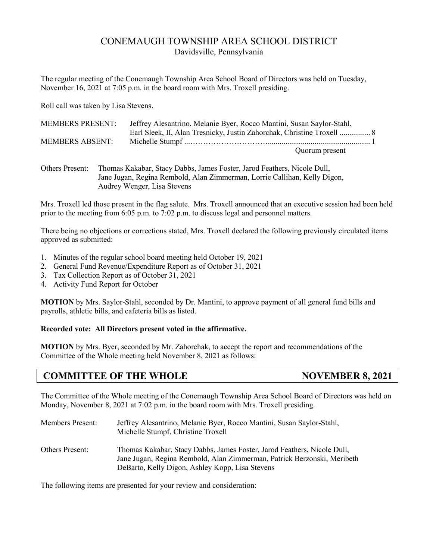## CONEMAUGH TOWNSHIP AREA SCHOOL DISTRICT Davidsville, Pennsylvania

The regular meeting of the Conemaugh Township Area School Board of Directors was held on Tuesday, November 16, 2021 at 7:05 p.m. in the board room with Mrs. Troxell presiding.

Roll call was taken by Lisa Stevens.

| <b>MEMBERS PRESENT:</b> | Jeffrey Alesantrino, Melanie Byer, Rocco Mantini, Susan Saylor-Stahl, |
|-------------------------|-----------------------------------------------------------------------|
|                         | Earl Sleek, II, Alan Tresnicky, Justin Zahorchak, Christine Troxell   |
| <b>MEMBERS ABSENT:</b>  |                                                                       |
|                         | Quorum present                                                        |

Others Present: Thomas Kakabar, Stacy Dabbs, James Foster, Jarod Feathers, Nicole Dull, Jane Jugan, Regina Rembold, Alan Zimmerman, Lorrie Callihan, Kelly Digon, Audrey Wenger, Lisa Stevens

Mrs. Troxell led those present in the flag salute. Mrs. Troxell announced that an executive session had been held prior to the meeting from 6:05 p.m. to 7:02 p.m. to discuss legal and personnel matters.

There being no objections or corrections stated, Mrs. Troxell declared the following previously circulated items approved as submitted:

- 1. Minutes of the regular school board meeting held October 19, 2021
- 2. General Fund Revenue/Expenditure Report as of October 31, 2021
- 3. Tax Collection Report as of October 31, 2021
- 4. Activity Fund Report for October

**MOTION** by Mrs. Saylor-Stahl, seconded by Dr. Mantini, to approve payment of all general fund bills and payrolls, athletic bills, and cafeteria bills as listed.

### **Recorded vote: All Directors present voted in the affirmative.**

**MOTION** by Mrs. Byer, seconded by Mr. Zahorchak, to accept the report and recommendations of the Committee of the Whole meeting held November 8, 2021 as follows:

# **COMMITTEE OF THE WHOLE NOVEMBER 8, 2021**

The Committee of the Whole meeting of the Conemaugh Township Area School Board of Directors was held on Monday, November 8, 2021 at 7:02 p.m. in the board room with Mrs. Troxell presiding.

| <b>Members Present:</b> | Jeffrey Alesantrino, Melanie Byer, Rocco Mantini, Susan Saylor-Stahl,<br>Michelle Stumpf, Christine Troxell                                                                                           |
|-------------------------|-------------------------------------------------------------------------------------------------------------------------------------------------------------------------------------------------------|
| <b>Others Present:</b>  | Thomas Kakabar, Stacy Dabbs, James Foster, Jarod Feathers, Nicole Dull,<br>Jane Jugan, Regina Rembold, Alan Zimmerman, Patrick Berzonski, Meribeth<br>DeBarto, Kelly Digon, Ashley Kopp, Lisa Stevens |

The following items are presented for your review and consideration: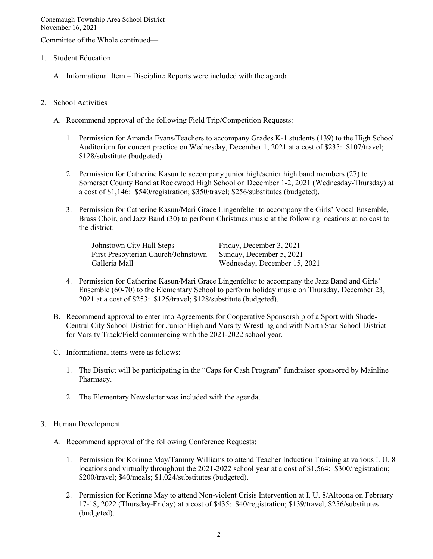Committee of the Whole continued—

- 1. Student Education
	- A. Informational Item Discipline Reports were included with the agenda.
- 2. School Activities
	- A. Recommend approval of the following Field Trip/Competition Requests:
		- 1. Permission for Amanda Evans/Teachers to accompany Grades K-1 students (139) to the High School Auditorium for concert practice on Wednesday, December 1, 2021 at a cost of \$235: \$107/travel; \$128/substitute (budgeted).
		- 2. Permission for Catherine Kasun to accompany junior high/senior high band members (27) to Somerset County Band at Rockwood High School on December 1-2, 2021 (Wednesday-Thursday) at a cost of \$1,146: \$540/registration; \$350/travel; \$256/substitutes (budgeted).
		- 3. Permission for Catherine Kasun/Mari Grace Lingenfelter to accompany the Girls' Vocal Ensemble, Brass Choir, and Jazz Band (30) to perform Christmas music at the following locations at no cost to the district:

| Johnstown City Hall Steps           | Friday, December 3, 2021     |
|-------------------------------------|------------------------------|
| First Presbyterian Church/Johnstown | Sunday, December 5, 2021     |
| Galleria Mall                       | Wednesday, December 15, 2021 |

- 4. Permission for Catherine Kasun/Mari Grace Lingenfelter to accompany the Jazz Band and Girls' Ensemble (60-70) to the Elementary School to perform holiday music on Thursday, December 23, 2021 at a cost of \$253: \$125/travel; \$128/substitute (budgeted).
- B. Recommend approval to enter into Agreements for Cooperative Sponsorship of a Sport with Shade-Central City School District for Junior High and Varsity Wrestling and with North Star School District for Varsity Track/Field commencing with the 2021-2022 school year.
- C. Informational items were as follows:
	- 1. The District will be participating in the "Caps for Cash Program" fundraiser sponsored by Mainline Pharmacy.
	- 2. The Elementary Newsletter was included with the agenda.
- 3. Human Development
	- A. Recommend approval of the following Conference Requests:
		- 1. Permission for Korinne May/Tammy Williams to attend Teacher Induction Training at various I. U. 8 locations and virtually throughout the 2021-2022 school year at a cost of \$1,564: \$300/registration; \$200/travel; \$40/meals; \$1,024/substitutes (budgeted).
		- 2. Permission for Korinne May to attend Non-violent Crisis Intervention at I. U. 8/Altoona on February 17-18, 2022 (Thursday-Friday) at a cost of \$435: \$40/registration; \$139/travel; \$256/substitutes (budgeted).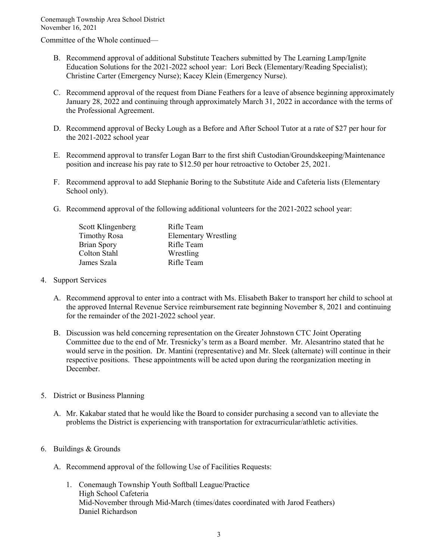Committee of the Whole continued—

- B. Recommend approval of additional Substitute Teachers submitted by The Learning Lamp/Ignite Education Solutions for the 2021-2022 school year: Lori Beck (Elementary/Reading Specialist); Christine Carter (Emergency Nurse); Kacey Klein (Emergency Nurse).
- C. Recommend approval of the request from Diane Feathers for a leave of absence beginning approximately January 28, 2022 and continuing through approximately March 31, 2022 in accordance with the terms of the Professional Agreement.
- D. Recommend approval of Becky Lough as a Before and After School Tutor at a rate of \$27 per hour for the 2021-2022 school year
- E. Recommend approval to transfer Logan Barr to the first shift Custodian/Groundskeeping/Maintenance position and increase his pay rate to \$12.50 per hour retroactive to October 25, 2021.
- F. Recommend approval to add Stephanie Boring to the Substitute Aide and Cafeteria lists (Elementary School only).
- G. Recommend approval of the following additional volunteers for the 2021-2022 school year:

| Scott Klingenberg   | Rifle Team                  |
|---------------------|-----------------------------|
| <b>Timothy Rosa</b> | <b>Elementary Wrestling</b> |
| <b>Brian Spory</b>  | Rifle Team                  |
| Colton Stahl        | Wrestling                   |
| James Szala         | Rifle Team                  |

#### 4. Support Services

- A. Recommend approval to enter into a contract with Ms. Elisabeth Baker to transport her child to school at the approved Internal Revenue Service reimbursement rate beginning November 8, 2021 and continuing for the remainder of the 2021-2022 school year.
- B. Discussion was held concerning representation on the Greater Johnstown CTC Joint Operating Committee due to the end of Mr. Tresnicky's term as a Board member. Mr. Alesantrino stated that he would serve in the position. Dr. Mantini (representative) and Mr. Sleek (alternate) will continue in their respective positions. These appointments will be acted upon during the reorganization meeting in December.
- 5. District or Business Planning
	- A. Mr. Kakabar stated that he would like the Board to consider purchasing a second van to alleviate the problems the District is experiencing with transportation for extracurricular/athletic activities.

### 6. Buildings & Grounds

- A. Recommend approval of the following Use of Facilities Requests:
	- 1. Conemaugh Township Youth Softball League/Practice High School Cafeteria Mid-November through Mid-March (times/dates coordinated with Jarod Feathers) Daniel Richardson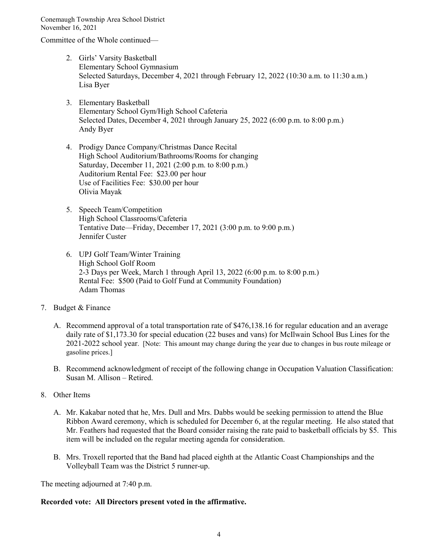Committee of the Whole continued—

- 2. Girls' Varsity Basketball Elementary School Gymnasium Selected Saturdays, December 4, 2021 through February 12, 2022 (10:30 a.m. to 11:30 a.m.) Lisa Byer
- 3. Elementary Basketball Elementary School Gym/High School Cafeteria Selected Dates, December 4, 2021 through January 25, 2022 (6:00 p.m. to 8:00 p.m.) Andy Byer
- 4. Prodigy Dance Company/Christmas Dance Recital High School Auditorium/Bathrooms/Rooms for changing Saturday, December 11, 2021 (2:00 p.m. to 8:00 p.m.) Auditorium Rental Fee: \$23.00 per hour Use of Facilities Fee: \$30.00 per hour Olivia Mayak
- 5. Speech Team/Competition High School Classrooms/Cafeteria Tentative Date—Friday, December 17, 2021 (3:00 p.m. to 9:00 p.m.) Jennifer Custer
- 6. UPJ Golf Team/Winter Training High School Golf Room 2-3 Days per Week, March 1 through April 13, 2022 (6:00 p.m. to 8:00 p.m.) Rental Fee: \$500 (Paid to Golf Fund at Community Foundation) Adam Thomas

### 7. Budget & Finance

- A. Recommend approval of a total transportation rate of \$476,138.16 for regular education and an average daily rate of \$1,173.30 for special education (22 buses and vans) for McIlwain School Bus Lines for the 2021-2022 school year. [Note: This amount may change during the year due to changes in bus route mileage or gasoline prices.]
- B. Recommend acknowledgment of receipt of the following change in Occupation Valuation Classification: Susan M. Allison – Retired.
- 8. Other Items
	- A. Mr. Kakabar noted that he, Mrs. Dull and Mrs. Dabbs would be seeking permission to attend the Blue Ribbon Award ceremony, which is scheduled for December 6, at the regular meeting. He also stated that Mr. Feathers had requested that the Board consider raising the rate paid to basketball officials by \$5. This item will be included on the regular meeting agenda for consideration.
	- B. Mrs. Troxell reported that the Band had placed eighth at the Atlantic Coast Championships and the Volleyball Team was the District 5 runner-up.

The meeting adjourned at 7:40 p.m.

### **Recorded vote: All Directors present voted in the affirmative.**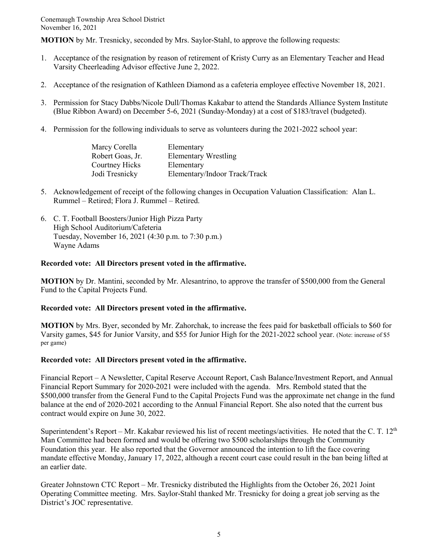**MOTION** by Mr. Tresnicky, seconded by Mrs. Saylor-Stahl, to approve the following requests:

- 1. Acceptance of the resignation by reason of retirement of Kristy Curry as an Elementary Teacher and Head Varsity Cheerleading Advisor effective June 2, 2022.
- 2. Acceptance of the resignation of Kathleen Diamond as a cafeteria employee effective November 18, 2021.
- 3. Permission for Stacy Dabbs/Nicole Dull/Thomas Kakabar to attend the Standards Alliance System Institute (Blue Ribbon Award) on December 5-6, 2021 (Sunday-Monday) at a cost of \$183/travel (budgeted).
- 4. Permission for the following individuals to serve as volunteers during the 2021-2022 school year:

| Marcy Corella         | Elementary                    |
|-----------------------|-------------------------------|
| Robert Goas, Jr.      | <b>Elementary Wrestling</b>   |
| <b>Courtney Hicks</b> | Elementary                    |
| Jodi Tresnicky        | Elementary/Indoor Track/Track |

- 5. Acknowledgement of receipt of the following changes in Occupation Valuation Classification: Alan L. Rummel – Retired; Flora J. Rummel – Retired.
- 6. C. T. Football Boosters/Junior High Pizza Party High School Auditorium/Cafeteria Tuesday, November 16, 2021 (4:30 p.m. to 7:30 p.m.) Wayne Adams

#### **Recorded vote: All Directors present voted in the affirmative.**

**MOTION** by Dr. Mantini, seconded by Mr. Alesantrino, to approve the transfer of \$500,000 from the General Fund to the Capital Projects Fund.

### **Recorded vote: All Directors present voted in the affirmative.**

**MOTION** by Mrs. Byer, seconded by Mr. Zahorchak, to increase the fees paid for basketball officials to \$60 for Varsity games, \$45 for Junior Varsity, and \$55 for Junior High for the 2021-2022 school year. (Note: increase of \$5 per game)

#### **Recorded vote: All Directors present voted in the affirmative.**

Financial Report – A Newsletter, Capital Reserve Account Report, Cash Balance/Investment Report, and Annual Financial Report Summary for 2020-2021 were included with the agenda. Mrs. Rembold stated that the \$500,000 transfer from the General Fund to the Capital Projects Fund was the approximate net change in the fund balance at the end of 2020-2021 according to the Annual Financial Report. She also noted that the current bus contract would expire on June 30, 2022.

Superintendent's Report – Mr. Kakabar reviewed his list of recent meetings/activities. He noted that the C. T.  $12<sup>th</sup>$ Man Committee had been formed and would be offering two \$500 scholarships through the Community Foundation this year. He also reported that the Governor announced the intention to lift the face covering mandate effective Monday, January 17, 2022, although a recent court case could result in the ban being lifted at an earlier date.

Greater Johnstown CTC Report – Mr. Tresnicky distributed the Highlights from the October 26, 2021 Joint Operating Committee meeting. Mrs. Saylor-Stahl thanked Mr. Tresnicky for doing a great job serving as the District's JOC representative.